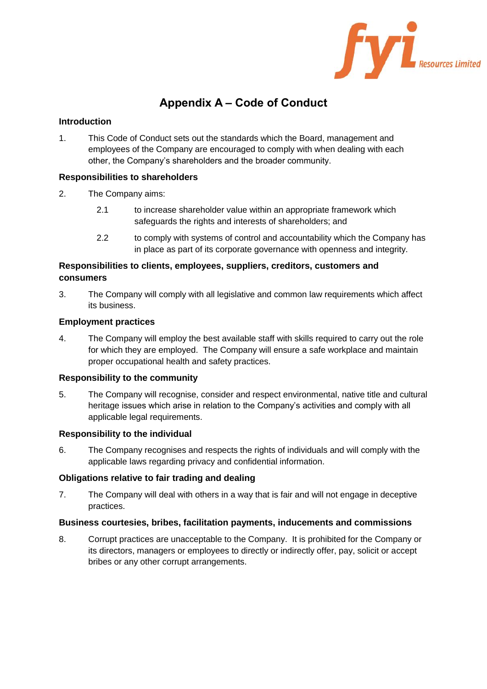

# **Appendix A – Code of Conduct**

## **Introduction**

1. This Code of Conduct sets out the standards which the Board, management and employees of the Company are encouraged to comply with when dealing with each other, the Company's shareholders and the broader community.

## **Responsibilities to shareholders**

- 2. The Company aims:
	- 2.1 to increase shareholder value within an appropriate framework which safeguards the rights and interests of shareholders; and
	- 2.2 to comply with systems of control and accountability which the Company has in place as part of its corporate governance with openness and integrity.

# **Responsibilities to clients, employees, suppliers, creditors, customers and consumers**

3. The Company will comply with all legislative and common law requirements which affect its business.

### **Employment practices**

4. The Company will employ the best available staff with skills required to carry out the role for which they are employed. The Company will ensure a safe workplace and maintain proper occupational health and safety practices.

### **Responsibility to the community**

5. The Company will recognise, consider and respect environmental, native title and cultural heritage issues which arise in relation to the Company's activities and comply with all applicable legal requirements.

### **Responsibility to the individual**

6. The Company recognises and respects the rights of individuals and will comply with the applicable laws regarding privacy and confidential information.

### **Obligations relative to fair trading and dealing**

7. The Company will deal with others in a way that is fair and will not engage in deceptive practices.

### **Business courtesies, bribes, facilitation payments, inducements and commissions**

8. Corrupt practices are unacceptable to the Company. It is prohibited for the Company or its directors, managers or employees to directly or indirectly offer, pay, solicit or accept bribes or any other corrupt arrangements.